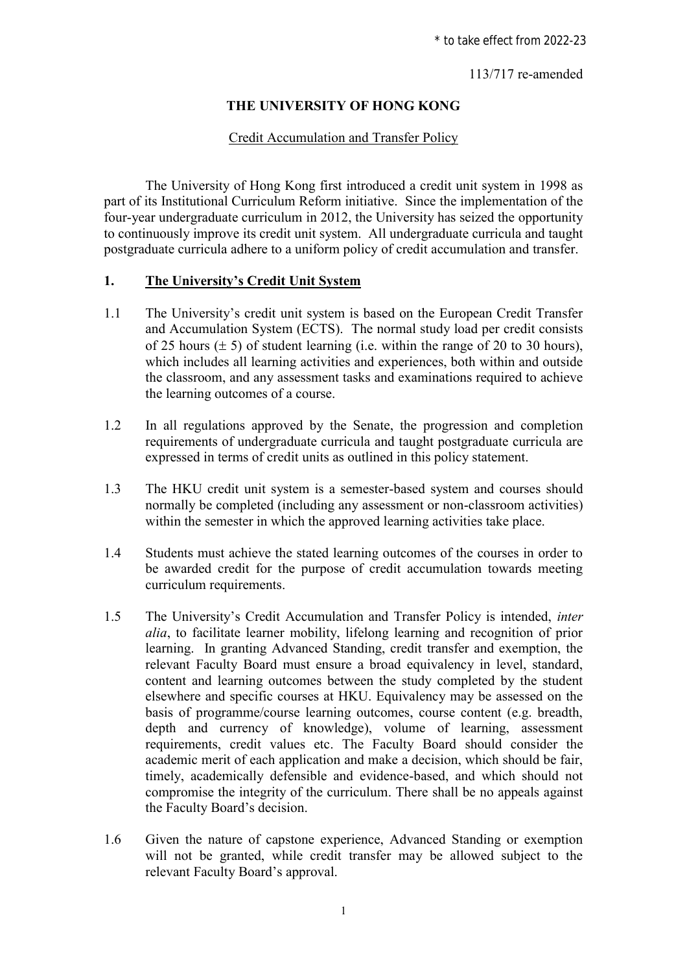113/717 re-amended

## **THE UNIVERSITY OF HONG KONG**

### Credit Accumulation and Transfer Policy

The University of Hong Kong first introduced a credit unit system in 1998 as part of its Institutional Curriculum Reform initiative. Since the implementation of the four-year undergraduate curriculum in 2012, the University has seized the opportunity to continuously improve its credit unit system. All undergraduate curricula and taught postgraduate curricula adhere to a uniform policy of credit accumulation and transfer.

### **1. The University's Credit Unit System**

- 1.1 The University's credit unit system is based on the European Credit Transfer and Accumulation System (ECTS). The normal study load per credit consists of 25 hours  $(\pm 5)$  of student learning (i.e. within the range of 20 to 30 hours), which includes all learning activities and experiences, both within and outside the classroom, and any assessment tasks and examinations required to achieve the learning outcomes of a course.
- 1.2 In all regulations approved by the Senate, the progression and completion requirements of undergraduate curricula and taught postgraduate curricula are expressed in terms of credit units as outlined in this policy statement.
- 1.3 The HKU credit unit system is a semester-based system and courses should normally be completed (including any assessment or non-classroom activities) within the semester in which the approved learning activities take place.
- 1.4 Students must achieve the stated learning outcomes of the courses in order to be awarded credit for the purpose of credit accumulation towards meeting curriculum requirements.
- 1.5 The University's Credit Accumulation and Transfer Policy is intended, *inter alia*, to facilitate learner mobility, lifelong learning and recognition of prior learning. In granting Advanced Standing, credit transfer and exemption, the relevant Faculty Board must ensure a broad equivalency in level, standard, content and learning outcomes between the study completed by the student elsewhere and specific courses at HKU. Equivalency may be assessed on the basis of programme/course learning outcomes, course content (e.g. breadth, depth and currency of knowledge), volume of learning, assessment requirements, credit values etc. The Faculty Board should consider the academic merit of each application and make a decision, which should be fair, timely, academically defensible and evidence-based, and which should not compromise the integrity of the curriculum. There shall be no appeals against the Faculty Board's decision.
- 1.6 Given the nature of capstone experience, Advanced Standing or exemption will not be granted, while credit transfer may be allowed subject to the relevant Faculty Board's approval.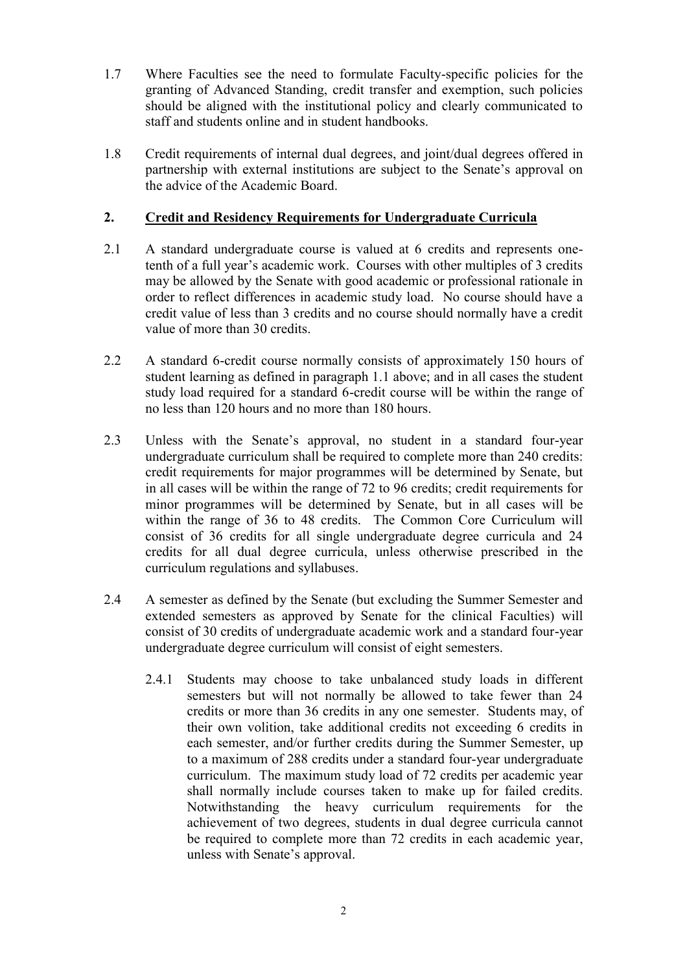- 1.7 Where Faculties see the need to formulate Faculty-specific policies for the granting of Advanced Standing, credit transfer and exemption, such policies should be aligned with the institutional policy and clearly communicated to staff and students online and in student handbooks.
- 1.8 Credit requirements of internal dual degrees, and joint/dual degrees offered in partnership with external institutions are subject to the Senate's approval on the advice of the Academic Board.

## **2. Credit and Residency Requirements for Undergraduate Curricula**

- 2.1 A standard undergraduate course is valued at 6 credits and represents onetenth of a full year's academic work. Courses with other multiples of 3 credits may be allowed by the Senate with good academic or professional rationale in order to reflect differences in academic study load. No course should have a credit value of less than 3 credits and no course should normally have a credit value of more than 30 credits.
- 2.2 A standard 6-credit course normally consists of approximately 150 hours of student learning as defined in paragraph 1.1 above; and in all cases the student study load required for a standard 6-credit course will be within the range of no less than 120 hours and no more than 180 hours.
- 2.3 Unless with the Senate's approval, no student in a standard four-year undergraduate curriculum shall be required to complete more than 240 credits: credit requirements for major programmes will be determined by Senate, but in all cases will be within the range of 72 to 96 credits; credit requirements for minor programmes will be determined by Senate, but in all cases will be within the range of 36 to 48 credits. The Common Core Curriculum will consist of 36 credits for all single undergraduate degree curricula and 24 credits for all dual degree curricula, unless otherwise prescribed in the curriculum regulations and syllabuses.
- 2.4 A semester as defined by the Senate (but excluding the Summer Semester and extended semesters as approved by Senate for the clinical Faculties) will consist of 30 credits of undergraduate academic work and a standard four-year undergraduate degree curriculum will consist of eight semesters.
	- 2.4.1 Students may choose to take unbalanced study loads in different semesters but will not normally be allowed to take fewer than 24 credits or more than 36 credits in any one semester. Students may, of their own volition, take additional credits not exceeding 6 credits in each semester, and/or further credits during the Summer Semester, up to a maximum of 288 credits under a standard four-year undergraduate curriculum. The maximum study load of 72 credits per academic year shall normally include courses taken to make up for failed credits. Notwithstanding the heavy curriculum requirements for the achievement of two degrees, students in dual degree curricula cannot be required to complete more than 72 credits in each academic year, unless with Senate's approval.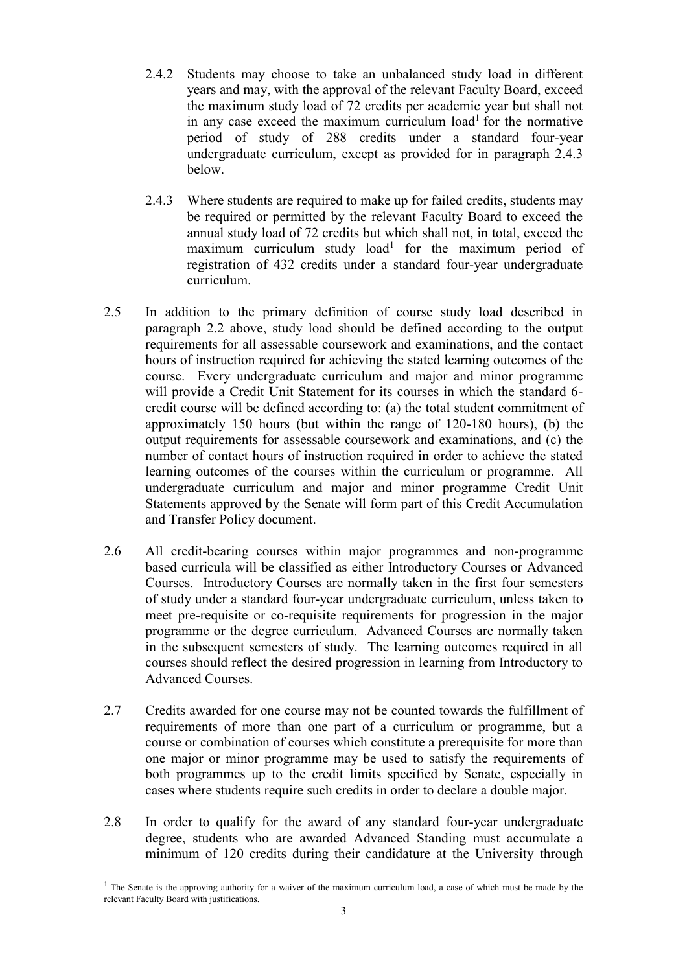- 2.4.2 Students may choose to take an unbalanced study load in different years and may, with the approval of the relevant Faculty Board, exceed the maximum study load of 72 credits per academic year but shall not in any case exceed the maximum curriculum load<sup>1</sup> for the normative period of study of 288 credits under a standard four-year undergraduate curriculum, except as provided for in paragraph 2.4.3 below.
- 2.4.3 Where students are required to make up for failed credits, students may be required or permitted by the relevant Faculty Board to exceed the annual study load of 72 credits but which shall not, in total, exceed the maximum curriculum study load<sup>1</sup> for the maximum period of registration of 432 credits under a standard four-year undergraduate curriculum.
- 2.5 In addition to the primary definition of course study load described in paragraph 2.2 above, study load should be defined according to the output requirements for all assessable coursework and examinations, and the contact hours of instruction required for achieving the stated learning outcomes of the course. Every undergraduate curriculum and major and minor programme will provide a Credit Unit Statement for its courses in which the standard 6 credit course will be defined according to: (a) the total student commitment of approximately 150 hours (but within the range of 120-180 hours), (b) the output requirements for assessable coursework and examinations, and (c) the number of contact hours of instruction required in order to achieve the stated learning outcomes of the courses within the curriculum or programme. All undergraduate curriculum and major and minor programme Credit Unit Statements approved by the Senate will form part of this Credit Accumulation and Transfer Policy document.
- 2.6 All credit-bearing courses within major programmes and non-programme based curricula will be classified as either Introductory Courses or Advanced Courses. Introductory Courses are normally taken in the first four semesters of study under a standard four-year undergraduate curriculum, unless taken to meet pre-requisite or co-requisite requirements for progression in the major programme or the degree curriculum. Advanced Courses are normally taken in the subsequent semesters of study. The learning outcomes required in all courses should reflect the desired progression in learning from Introductory to Advanced Courses.
- 2.7 Credits awarded for one course may not be counted towards the fulfillment of requirements of more than one part of a curriculum or programme, but a course or combination of courses which constitute a prerequisite for more than one major or minor programme may be used to satisfy the requirements of both programmes up to the credit limits specified by Senate, especially in cases where students require such credits in order to declare a double major.
- 2.8 In order to qualify for the award of any standard four-year undergraduate degree, students who are awarded Advanced Standing must accumulate a minimum of 120 credits during their candidature at the University through

 $\overline{a}$ 

<sup>&</sup>lt;sup>1</sup> The Senate is the approving authority for a waiver of the maximum curriculum load, a case of which must be made by the relevant Faculty Board with justifications.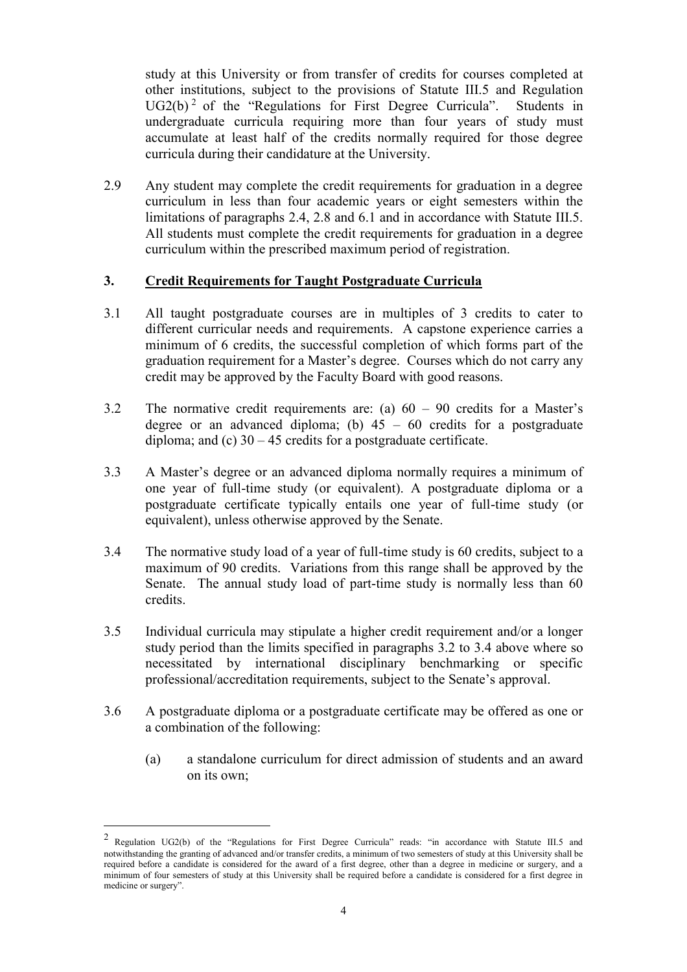study at this University or from transfer of credits for courses completed at other institutions, subject to the provisions of Statute III.5 and Regulation  $UG2(b)^2$  of the "Regulations for First Degree Curricula". Students in undergraduate curricula requiring more than four years of study must accumulate at least half of the credits normally required for those degree curricula during their candidature at the University.

2.9 Any student may complete the credit requirements for graduation in a degree curriculum in less than four academic years or eight semesters within the limitations of paragraphs 2.4, 2.8 and 6.1 and in accordance with Statute III.5. All students must complete the credit requirements for graduation in a degree curriculum within the prescribed maximum period of registration.

## **3. Credit Requirements for Taught Postgraduate Curricula**

- 3.1 All taught postgraduate courses are in multiples of 3 credits to cater to different curricular needs and requirements. A capstone experience carries a minimum of 6 credits, the successful completion of which forms part of the graduation requirement for a Master's degree. Courses which do not carry any credit may be approved by the Faculty Board with good reasons.
- 3.2 The normative credit requirements are: (a) 60 90 credits for a Master's degree or an advanced diploma; (b)  $45 - 60$  credits for a postgraduate diploma; and  $(c)$  30 – 45 credits for a postgraduate certificate.
- 3.3 A Master's degree or an advanced diploma normally requires a minimum of one year of full-time study (or equivalent). A postgraduate diploma or a postgraduate certificate typically entails one year of full-time study (or equivalent), unless otherwise approved by the Senate.
- 3.4 The normative study load of a year of full-time study is 60 credits, subject to a maximum of 90 credits. Variations from this range shall be approved by the Senate. The annual study load of part-time study is normally less than 60 credits.
- 3.5 Individual curricula may stipulate a higher credit requirement and/or a longer study period than the limits specified in paragraphs 3.2 to 3.4 above where so necessitated by international disciplinary benchmarking or specific professional/accreditation requirements, subject to the Senate's approval.
- 3.6 A postgraduate diploma or a postgraduate certificate may be offered as one or a combination of the following:
	- (a) a standalone curriculum for direct admission of students and an award on its own;

 $\overline{a}$ 

<sup>2</sup> Regulation UG2(b) of the "Regulations for First Degree Curricula" reads: "in accordance with Statute III.5 and notwithstanding the granting of advanced and/or transfer credits, a minimum of two semesters of study at this University shall be required before a candidate is considered for the award of a first degree, other than a degree in medicine or surgery, and a minimum of four semesters of study at this University shall be required before a candidate is considered for a first degree in medicine or surgery".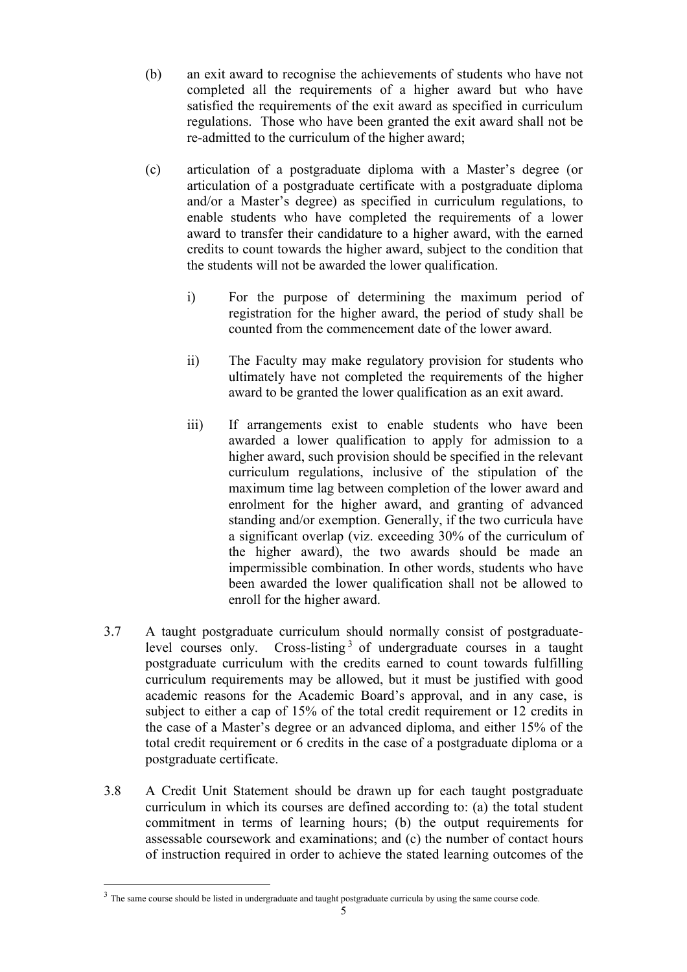- (b) an exit award to recognise the achievements of students who have not completed all the requirements of a higher award but who have satisfied the requirements of the exit award as specified in curriculum regulations. Those who have been granted the exit award shall not be re-admitted to the curriculum of the higher award;
- (c) articulation of a postgraduate diploma with a Master's degree (or articulation of a postgraduate certificate with a postgraduate diploma and/or a Master's degree) as specified in curriculum regulations, to enable students who have completed the requirements of a lower award to transfer their candidature to a higher award, with the earned credits to count towards the higher award, subject to the condition that the students will not be awarded the lower qualification.
	- i) For the purpose of determining the maximum period of registration for the higher award, the period of study shall be counted from the commencement date of the lower award.
	- ii) The Faculty may make regulatory provision for students who ultimately have not completed the requirements of the higher award to be granted the lower qualification as an exit award.
	- iii) If arrangements exist to enable students who have been awarded a lower qualification to apply for admission to a higher award, such provision should be specified in the relevant curriculum regulations, inclusive of the stipulation of the maximum time lag between completion of the lower award and enrolment for the higher award, and granting of advanced standing and/or exemption. Generally, if the two curricula have a significant overlap (viz. exceeding 30% of the curriculum of the higher award), the two awards should be made an impermissible combination. In other words, students who have been awarded the lower qualification shall not be allowed to enroll for the higher award.
- 3.7 A taught postgraduate curriculum should normally consist of postgraduatelevel courses only. Cross-listing<sup>3</sup> of undergraduate courses in a taught postgraduate curriculum with the credits earned to count towards fulfilling curriculum requirements may be allowed, but it must be justified with good academic reasons for the Academic Board's approval, and in any case, is subject to either a cap of 15% of the total credit requirement or 12 credits in the case of a Master's degree or an advanced diploma, and either 15% of the total credit requirement or 6 credits in the case of a postgraduate diploma or a postgraduate certificate.
- 3.8 A Credit Unit Statement should be drawn up for each taught postgraduate curriculum in which its courses are defined according to: (a) the total student commitment in terms of learning hours; (b) the output requirements for assessable coursework and examinations; and (c) the number of contact hours of instruction required in order to achieve the stated learning outcomes of the

 $\overline{a}$ 

<sup>&</sup>lt;sup>3</sup> The same course should be listed in undergraduate and taught postgraduate curricula by using the same course code.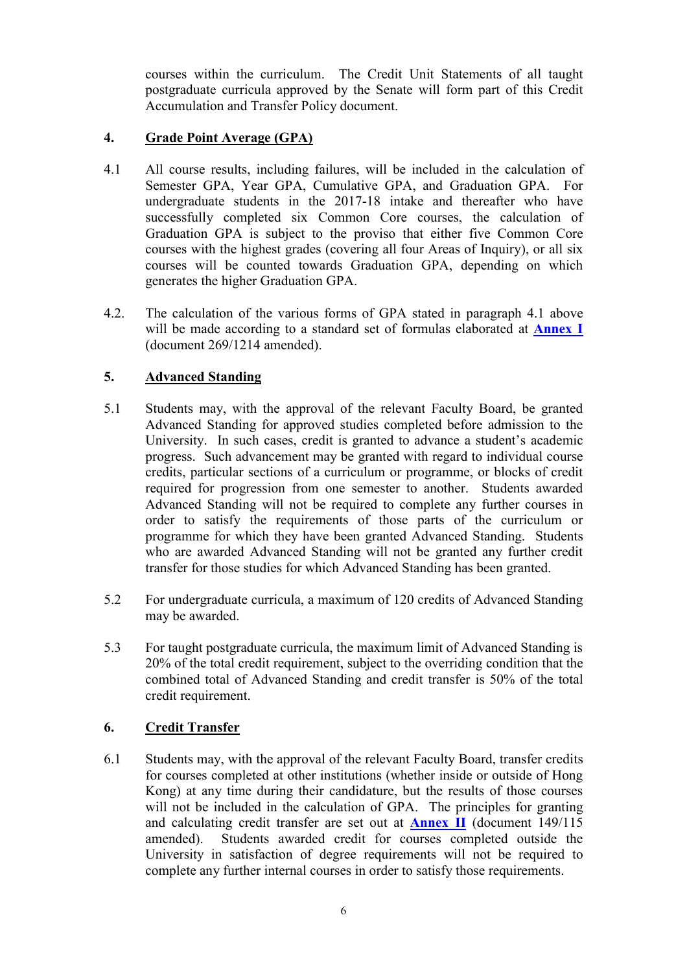courses within the curriculum. The Credit Unit Statements of all taught postgraduate curricula approved by the Senate will form part of this Credit Accumulation and Transfer Policy document.

## **4. Grade Point Average (GPA)**

- 4.1 All course results, including failures, will be included in the calculation of Semester GPA, Year GPA, Cumulative GPA, and Graduation GPA. For undergraduate students in the 2017-18 intake and thereafter who have successfully completed six Common Core courses, the calculation of Graduation GPA is subject to the proviso that either five Common Core courses with the highest grades (covering all four Areas of Inquiry), or all six courses will be counted towards Graduation GPA, depending on which generates the higher Graduation GPA.
- 4.2. The calculation of the various forms of GPA stated in paragraph 4.1 above will be made according to a standard set of formulas elaborated at **[Annex I](#page-7-0)** (document 269/1214 amended).

# **5. Advanced Standing**

- 5.1 Students may, with the approval of the relevant Faculty Board, be granted Advanced Standing for approved studies completed before admission to the University. In such cases, credit is granted to advance a student's academic progress. Such advancement may be granted with regard to individual course credits, particular sections of a curriculum or programme, or blocks of credit required for progression from one semester to another. Students awarded Advanced Standing will not be required to complete any further courses in order to satisfy the requirements of those parts of the curriculum or programme for which they have been granted Advanced Standing. Students who are awarded Advanced Standing will not be granted any further credit transfer for those studies for which Advanced Standing has been granted.
- 5.2 For undergraduate curricula, a maximum of 120 credits of Advanced Standing may be awarded.
- 5.3 For taught postgraduate curricula, the maximum limit of Advanced Standing is 20% of the total credit requirement, subject to the overriding condition that the combined total of Advanced Standing and credit transfer is 50% of the total credit requirement.

## **6. Credit Transfer**

6.1 Students may, with the approval of the relevant Faculty Board, transfer credits for courses completed at other institutions (whether inside or outside of Hong Kong) at any time during their candidature, but the results of those courses will not be included in the calculation of GPA. The principles for granting and calculating credit transfer are set out at **[Annex II](#page-9-0)** (document 149/115 amended). Students awarded credit for courses completed outside the University in satisfaction of degree requirements will not be required to complete any further internal courses in order to satisfy those requirements.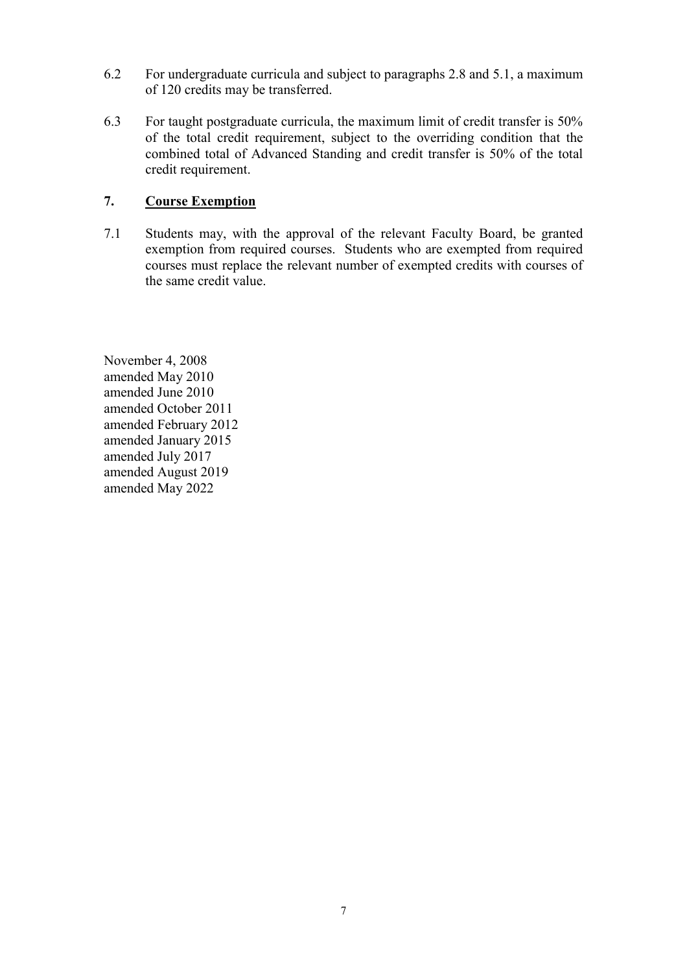- 6.2 For undergraduate curricula and subject to paragraphs 2.8 and 5.1, a maximum of 120 credits may be transferred.
- 6.3 For taught postgraduate curricula, the maximum limit of credit transfer is 50% of the total credit requirement, subject to the overriding condition that the combined total of Advanced Standing and credit transfer is 50% of the total credit requirement.

## **7. Course Exemption**

7.1 Students may, with the approval of the relevant Faculty Board, be granted exemption from required courses. Students who are exempted from required courses must replace the relevant number of exempted credits with courses of the same credit value.

November 4, 2008 amended May 2010 amended June 2010 amended October 2011 amended February 2012 amended January 2015 amended July 2017 amended August 2019 amended May 2022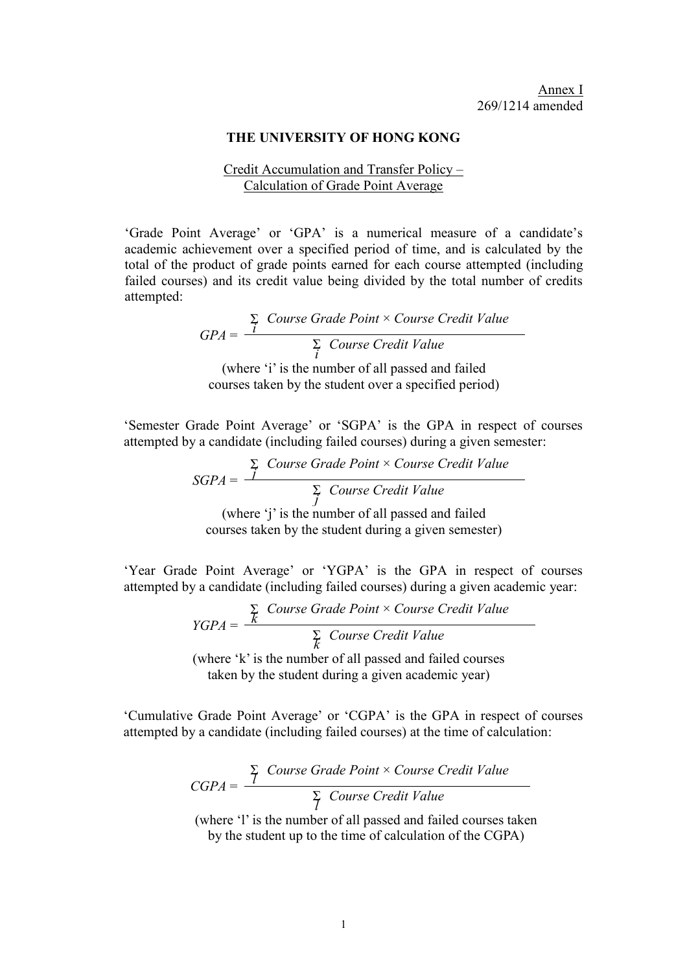#### **THE UNIVERSITY OF HONG KONG**

### Credit Accumulation and Transfer Policy – Calculation of Grade Point Average

<span id="page-7-0"></span>'Grade Point Average' or 'GPA' is a numerical measure of a candidate's academic achievement over a specified period of time, and is calculated by the total of the product of grade points earned for each course attempted (including failed courses) and its credit value being divided by the total number of credits attempted:

> *GPA* = Σ *i Course Grade Point* × *Course Credit Value* Σ *i Course Credit Value* (where 'i' is the number of all passed and failed

courses taken by the student over a specified period)

'Semester Grade Point Average' or 'SGPA' is the GPA in respect of courses attempted by a candidate (including failed courses) during a given semester:

> *SGPA* = Σ *j Course Grade Point* × *Course Credit Value* Σ *j Course Credit Value* (where 'j' is the number of all passed and failed courses taken by the student during a given semester)

'Year Grade Point Average' or 'YGPA' is the GPA in respect of courses attempted by a candidate (including failed courses) during a given academic year:

$$
YGPA = \frac{\sum_{k} \text{Course Grade Point} \times \text{Course Credit Value}}{\sum_{k} \text{ Course Credit Value}}
$$
\n(where 'k' is the number of all passed and failed curves)

(where 'k' is the number of all passed and failed courses taken by the student during a given academic year)

'Cumulative Grade Point Average' or 'CGPA' is the GPA in respect of courses attempted by a candidate (including failed courses) at the time of calculation:

$$
CGPA = \frac{\sum_{i=1}^{n} \text{Course Grade Point} \times \text{Course Credit Value}}{\sum_{i=1}^{n} \text{ Course Credit Value}}
$$

(where 'l' is the number of all passed and failed courses taken by the student up to the time of calculation of the CGPA)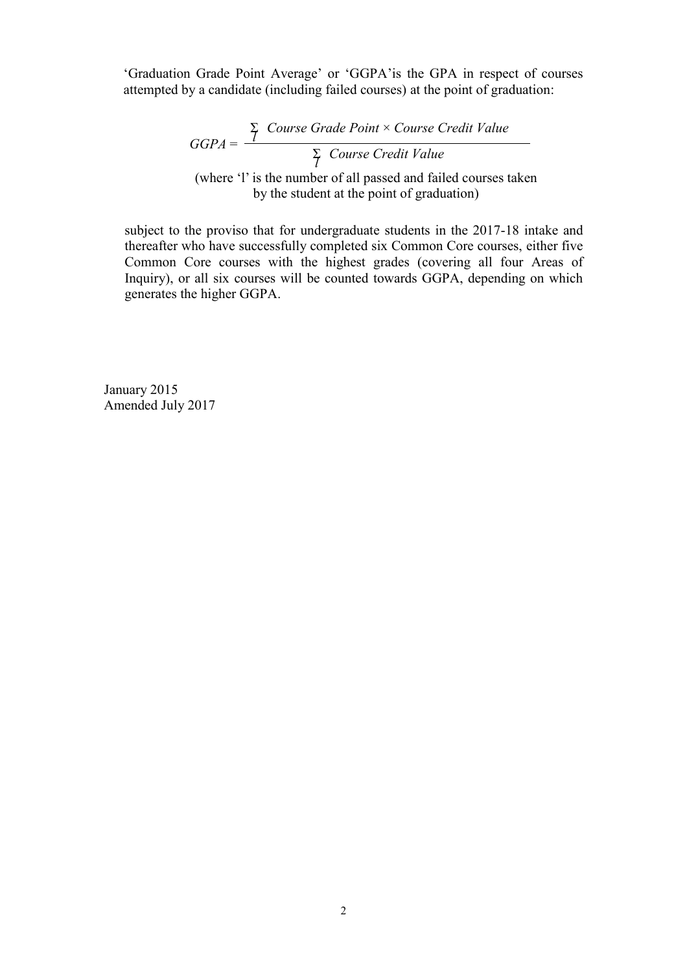'Graduation Grade Point Average' or 'GGPA'is the GPA in respect of courses attempted by a candidate (including failed courses) at the point of graduation:

$$
GGPA = \frac{\sum_{1} \text{Course Grade Point} \times \text{Course Credit Value}}{\sum_{1} \text{ Course Credit Value}}
$$
\n(where '1' is the number of all passed and failed courses taken by the student at the point of graduation)

subject to the proviso that for undergraduate students in the 2017-18 intake and thereafter who have successfully completed six Common Core courses, either five Common Core courses with the highest grades (covering all four Areas of Inquiry), or all six courses will be counted towards GGPA, depending on which generates the higher GGPA.

January 2015 Amended July 2017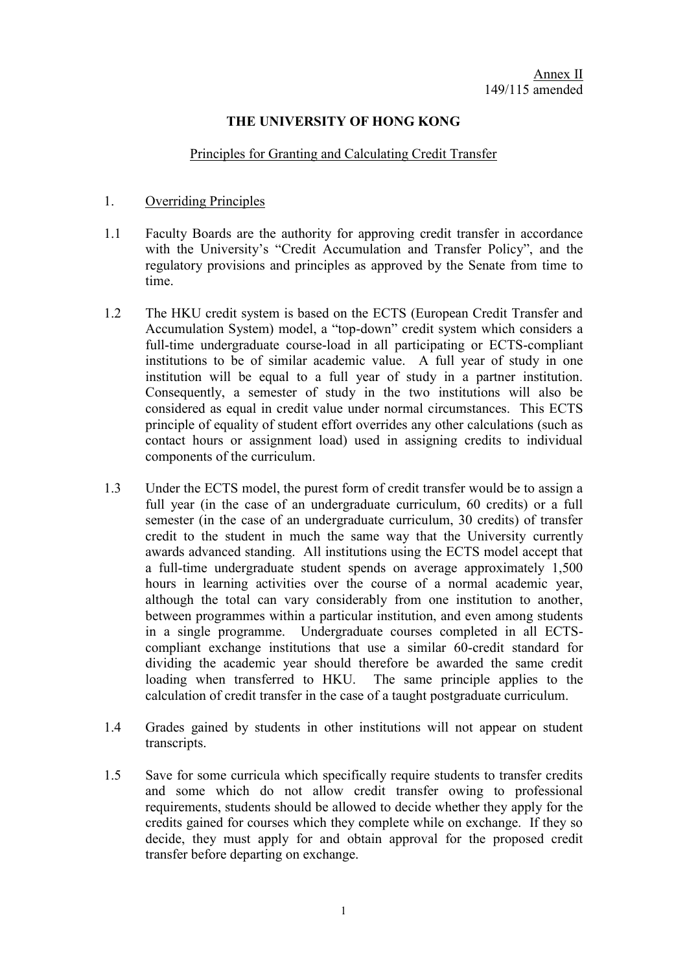## **THE UNIVERSITY OF HONG KONG**

#### Principles for Granting and Calculating Credit Transfer

### <span id="page-9-0"></span>1. Overriding Principles

- 1.1 Faculty Boards are the authority for approving credit transfer in accordance with the University's "Credit Accumulation and Transfer Policy", and the regulatory provisions and principles as approved by the Senate from time to time.
- 1.2 The HKU credit system is based on the ECTS (European Credit Transfer and Accumulation System) model, a "top-down" credit system which considers a full-time undergraduate course-load in all participating or ECTS-compliant institutions to be of similar academic value. A full year of study in one institution will be equal to a full year of study in a partner institution. Consequently, a semester of study in the two institutions will also be considered as equal in credit value under normal circumstances. This ECTS principle of equality of student effort overrides any other calculations (such as contact hours or assignment load) used in assigning credits to individual components of the curriculum.
- 1.3 Under the ECTS model, the purest form of credit transfer would be to assign a full year (in the case of an undergraduate curriculum, 60 credits) or a full semester (in the case of an undergraduate curriculum, 30 credits) of transfer credit to the student in much the same way that the University currently awards advanced standing. All institutions using the ECTS model accept that a full-time undergraduate student spends on average approximately 1,500 hours in learning activities over the course of a normal academic year, although the total can vary considerably from one institution to another, between programmes within a particular institution, and even among students in a single programme. Undergraduate courses completed in all ECTScompliant exchange institutions that use a similar 60-credit standard for dividing the academic year should therefore be awarded the same credit loading when transferred to HKU. The same principle applies to the calculation of credit transfer in the case of a taught postgraduate curriculum.
- 1.4 Grades gained by students in other institutions will not appear on student transcripts.
- 1.5 Save for some curricula which specifically require students to transfer credits and some which do not allow credit transfer owing to professional requirements, students should be allowed to decide whether they apply for the credits gained for courses which they complete while on exchange. If they so decide, they must apply for and obtain approval for the proposed credit transfer before departing on exchange.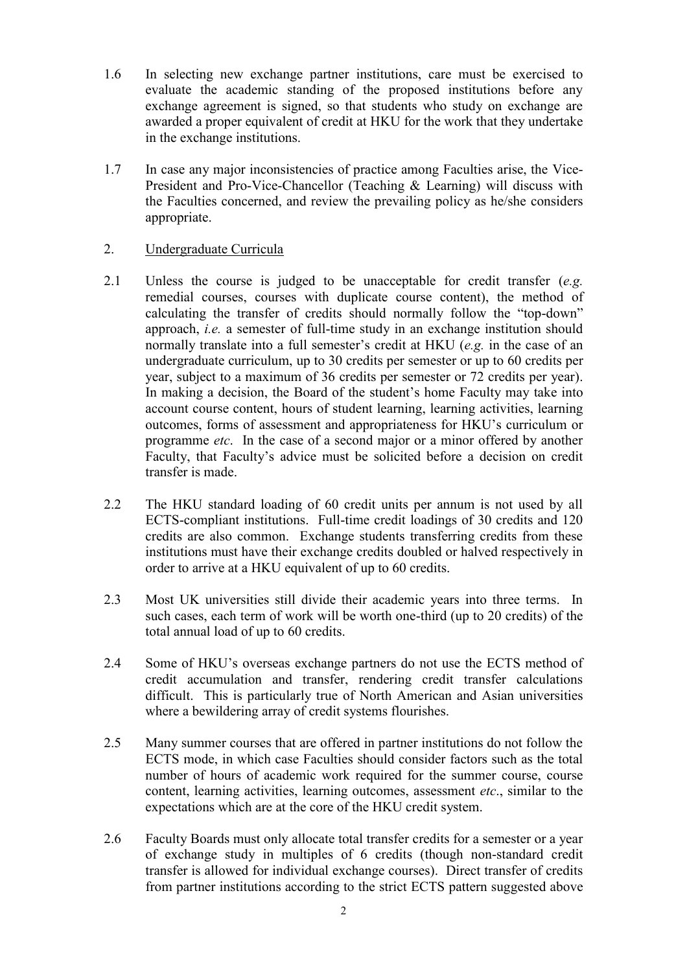- 1.6 In selecting new exchange partner institutions, care must be exercised to evaluate the academic standing of the proposed institutions before any exchange agreement is signed, so that students who study on exchange are awarded a proper equivalent of credit at HKU for the work that they undertake in the exchange institutions.
- 1.7 In case any major inconsistencies of practice among Faculties arise, the Vice-President and Pro-Vice-Chancellor (Teaching & Learning) will discuss with the Faculties concerned, and review the prevailing policy as he/she considers appropriate.

### 2. Undergraduate Curricula

- 2.1 Unless the course is judged to be unacceptable for credit transfer (*e.g.* remedial courses, courses with duplicate course content), the method of calculating the transfer of credits should normally follow the "top-down" approach, *i.e.* a semester of full-time study in an exchange institution should normally translate into a full semester's credit at HKU (*e.g.* in the case of an undergraduate curriculum, up to 30 credits per semester or up to 60 credits per year, subject to a maximum of 36 credits per semester or 72 credits per year). In making a decision, the Board of the student's home Faculty may take into account course content, hours of student learning, learning activities, learning outcomes, forms of assessment and appropriateness for HKU's curriculum or programme *etc*. In the case of a second major or a minor offered by another Faculty, that Faculty's advice must be solicited before a decision on credit transfer is made.
- 2.2 The HKU standard loading of 60 credit units per annum is not used by all ECTS-compliant institutions. Full-time credit loadings of 30 credits and 120 credits are also common. Exchange students transferring credits from these institutions must have their exchange credits doubled or halved respectively in order to arrive at a HKU equivalent of up to 60 credits.
- 2.3 Most UK universities still divide their academic years into three terms. In such cases, each term of work will be worth one-third (up to 20 credits) of the total annual load of up to 60 credits.
- 2.4 Some of HKU's overseas exchange partners do not use the ECTS method of credit accumulation and transfer, rendering credit transfer calculations difficult. This is particularly true of North American and Asian universities where a bewildering array of credit systems flourishes.
- 2.5 Many summer courses that are offered in partner institutions do not follow the ECTS mode, in which case Faculties should consider factors such as the total number of hours of academic work required for the summer course, course content, learning activities, learning outcomes, assessment *etc*., similar to the expectations which are at the core of the HKU credit system.
- 2.6 Faculty Boards must only allocate total transfer credits for a semester or a year of exchange study in multiples of 6 credits (though non-standard credit transfer is allowed for individual exchange courses). Direct transfer of credits from partner institutions according to the strict ECTS pattern suggested above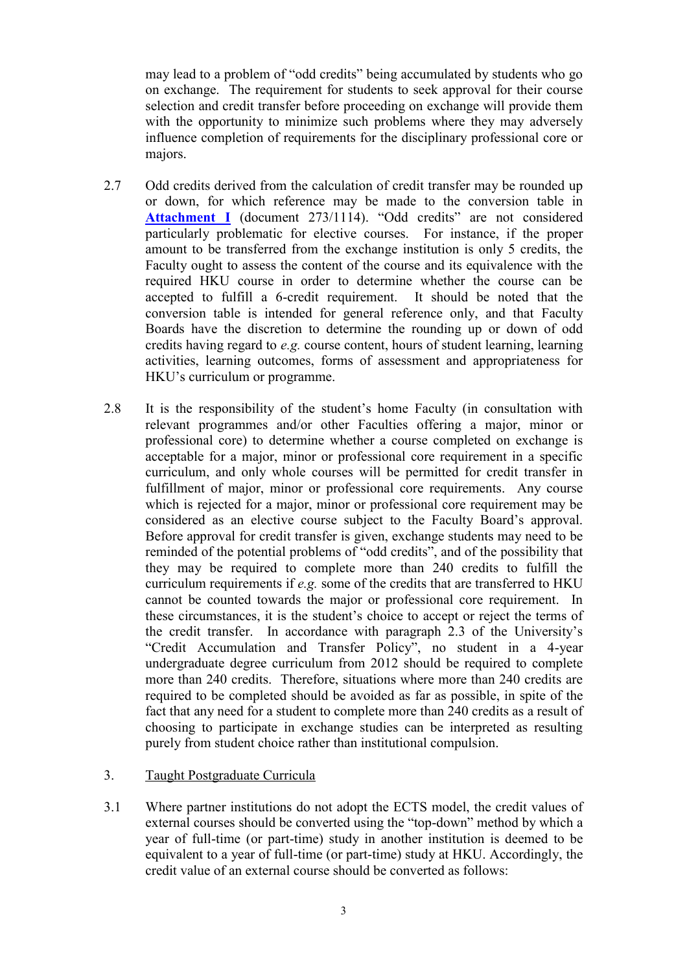may lead to a problem of "odd credits" being accumulated by students who go on exchange. The requirement for students to seek approval for their course selection and credit transfer before proceeding on exchange will provide them with the opportunity to minimize such problems where they may adversely influence completion of requirements for the disciplinary professional core or majors.

- 2.7 Odd credits derived from the calculation of credit transfer may be rounded up or down, for which reference may be made to the conversion table in **[Attachment I](#page-13-0)** (document 273/1114). "Odd credits" are not considered particularly problematic for elective courses. For instance, if the proper amount to be transferred from the exchange institution is only 5 credits, the Faculty ought to assess the content of the course and its equivalence with the required HKU course in order to determine whether the course can be accepted to fulfill a 6-credit requirement. It should be noted that the conversion table is intended for general reference only, and that Faculty Boards have the discretion to determine the rounding up or down of odd credits having regard to *e.g.* course content, hours of student learning, learning activities, learning outcomes, forms of assessment and appropriateness for HKU's curriculum or programme.
- 2.8 It is the responsibility of the student's home Faculty (in consultation with relevant programmes and/or other Faculties offering a major, minor or professional core) to determine whether a course completed on exchange is acceptable for a major, minor or professional core requirement in a specific curriculum, and only whole courses will be permitted for credit transfer in fulfillment of major, minor or professional core requirements. Any course which is rejected for a major, minor or professional core requirement may be considered as an elective course subject to the Faculty Board's approval. Before approval for credit transfer is given, exchange students may need to be reminded of the potential problems of "odd credits", and of the possibility that they may be required to complete more than 240 credits to fulfill the curriculum requirements if *e.g.* some of the credits that are transferred to HKU cannot be counted towards the major or professional core requirement. In these circumstances, it is the student's choice to accept or reject the terms of the credit transfer. In accordance with paragraph 2.3 of the University's "Credit Accumulation and Transfer Policy", no student in a 4-year undergraduate degree curriculum from 2012 should be required to complete more than 240 credits. Therefore, situations where more than 240 credits are required to be completed should be avoided as far as possible, in spite of the fact that any need for a student to complete more than 240 credits as a result of choosing to participate in exchange studies can be interpreted as resulting purely from student choice rather than institutional compulsion.

### 3. Taught Postgraduate Curricula

3.1 Where partner institutions do not adopt the ECTS model, the credit values of external courses should be converted using the "top-down" method by which a year of full-time (or part-time) study in another institution is deemed to be equivalent to a year of full-time (or part-time) study at HKU. Accordingly, the credit value of an external course should be converted as follows: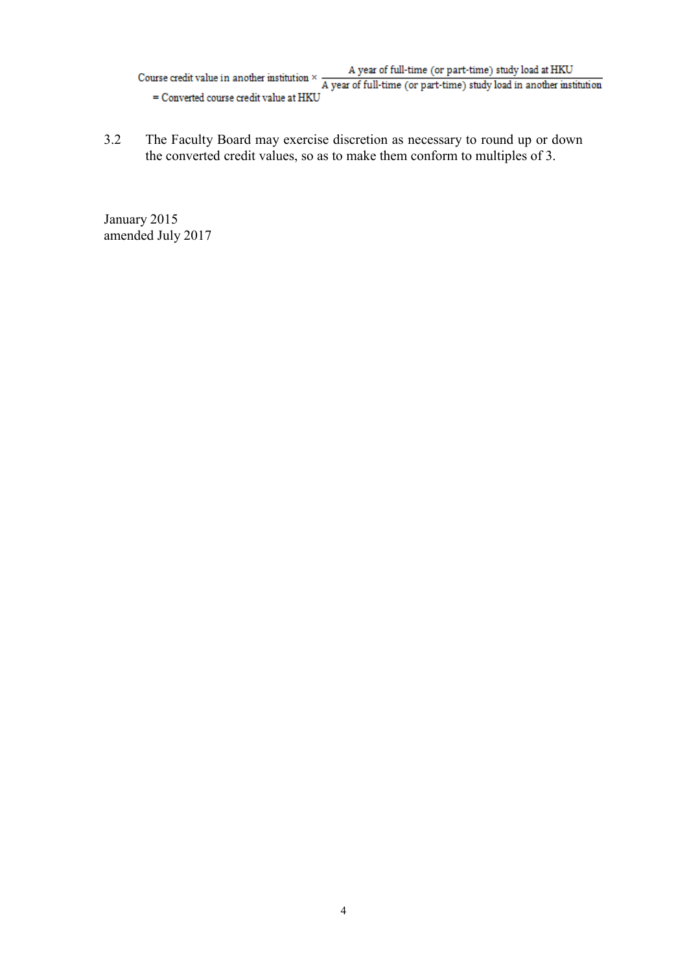Course credit value in another institution  $\times$  A year of full-time (or part-time) study load at HKU<br>  $\overline{A}$  year of full-time (or part-time) study load in another institution = Converted course credit value at HKU

3.2 The Faculty Board may exercise discretion as necessary to round up or down the converted credit values, so as to make them conform to multiples of 3.

January 2015 amended July 2017